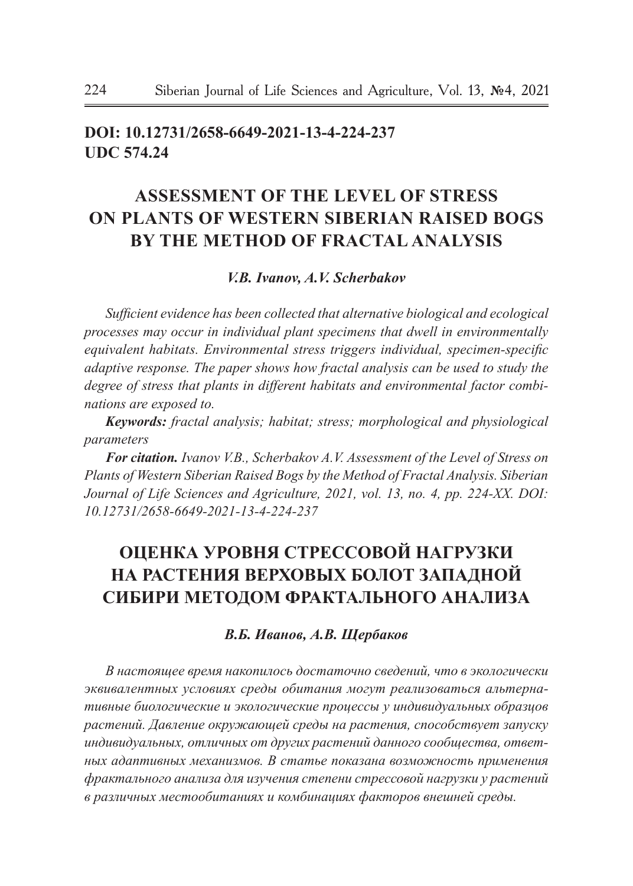# **doi: 10.12731/2658-6649-2021-13-4-224-237 UDC 574.24**

# **ASSESSMENT OF THE LEVEL OF STRESS ON PLANTS OF WESTERN SIBERIAN RAISED BOGS BY THE METHOD OF FRACTAL ANALYSIS**

### *V.B. Ivanov, A.V. Scherbakov*

*Sufficient evidence has been collected that alternative biological and ecological processes may occur in individual plant specimens that dwell in environmentally equivalent habitats. Environmental stress triggers individual, specimen-specific adaptive response. The paper shows how fractal analysis can be used to study the degree of stress that plants in different habitats and environmental factor combinations are exposed to.*

*Keywords: fractal analysis; habitat; stress; morphological and physiological parameters*

*For citation. Ivanov V.B., Scherbakov A.V. Assessment of the Level of Stress on Plants of Western Siberian Raised Bogs by the Method of Fractal Analysis. Siberian Journal of Life Sciences and Agriculture, 2021, vol. 13, no. 4, pp. 224-XX. DOI: 10.12731/2658-6649-2021-13-4-224-237* 

# **ОЦЕНКА УРОВНЯ СТРЕССОВОЙ НАГРУЗКИ НА РАСТЕНИЯ ВЕРХОВЫХ БОЛОТ ЗАПАДНОЙ СИБИРИ МЕТОДОМ ФРАКТАЛЬНОГО АНАЛИЗА**

## *В.Б. Иванов, А.В. Щербаков*

*В настоящее время накопилось достаточно сведений, что в экологически эквивалентных условиях среды обитания могут реализоваться альтернативные биологические и экологические процессы у индивидуальных образцов растений. Давление окружающей среды на растения, способствует запуску индивидуальных, отличных от других растений данного сообщества, ответных адаптивных механизмов. В статье показана возможность применения фрактального анализа для изучения степени стрессовой нагрузки у растений в различных местообитаниях и комбинациях факторов внешней среды.*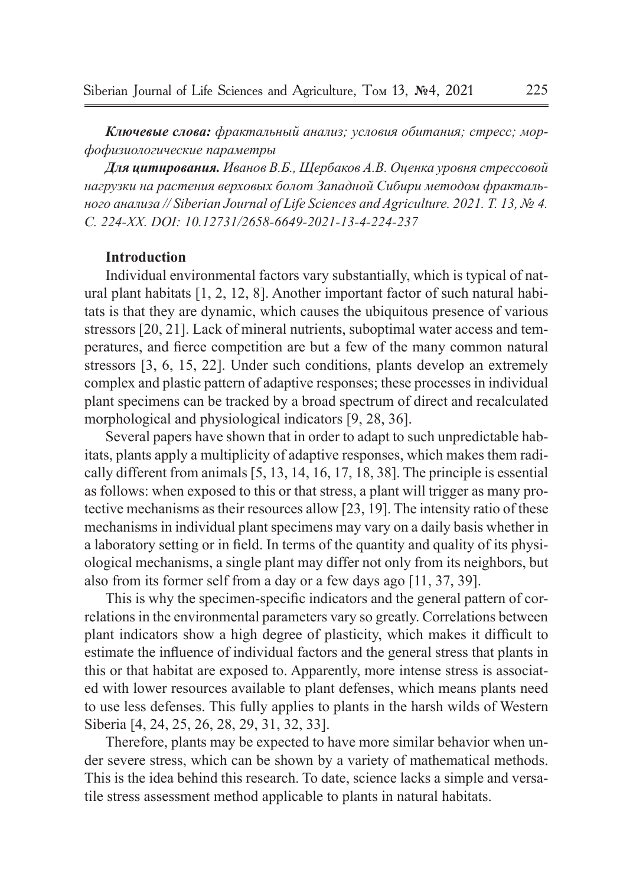*Ключевые слова: фрактальный анализ; условия обитания; стресс; морфофизиологические параметры*

*Для цитирования. Иванов В.Б., Щербаков А.В. Оценка уровня стрессовой нагрузки на растения верховых болот Западной Сибири методом фрактального анализа // Siberian Journal of Life Sciences and Agriculture. 2021. Т. 13, № 4. C. 224-ХХ. DOI: 10.12731/2658-6649-2021-13-4-224-237*

### **Introduction**

Individual environmental factors vary substantially, which is typical of natural plant habitats [1, 2, 12, 8]. Another important factor of such natural habitats is that they are dynamic, which causes the ubiquitous presence of various stressors [20, 21]. Lack of mineral nutrients, suboptimal water access and temperatures, and fierce competition are but a few of the many common natural stressors [3, 6, 15, 22]. Under such conditions, plants develop an extremely complex and plastic pattern of adaptive responses; these processes in individual plant specimens can be tracked by a broad spectrum of direct and recalculated morphological and physiological indicators [9, 28, 36].

Several papers have shown that in order to adapt to such unpredictable habitats, plants apply a multiplicity of adaptive responses, which makes them radically different from animals [5, 13, 14, 16, 17, 18, 38]. The principle is essential as follows: when exposed to this or that stress, a plant will trigger as many protective mechanisms as their resources allow [23, 19]. The intensity ratio of these mechanisms in individual plant specimens may vary on a daily basis whether in a laboratory setting or in field. In terms of the quantity and quality of its physiological mechanisms, a single plant may differ not only from its neighbors, but also from its former self from a day or a few days ago [11, 37, 39].

This is why the specimen-specific indicators and the general pattern of correlations in the environmental parameters vary so greatly. Correlations between plant indicators show a high degree of plasticity, which makes it difficult to estimate the influence of individual factors and the general stress that plants in this or that habitat are exposed to. Apparently, more intense stress is associated with lower resources available to plant defenses, which means plants need to use less defenses. This fully applies to plants in the harsh wilds of Western Siberia [4, 24, 25, 26, 28, 29, 31, 32, 33].

Therefore, plants may be expected to have more similar behavior when under severe stress, which can be shown by a variety of mathematical methods. This is the idea behind this research. To date, science lacks a simple and versatile stress assessment method applicable to plants in natural habitats.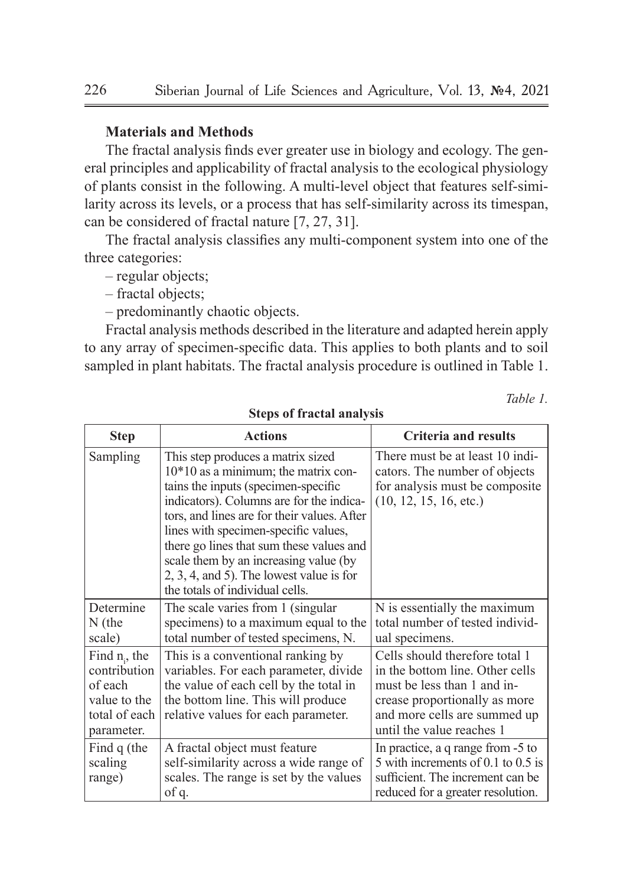## **Materials and Methods**

The fractal analysis finds ever greater use in biology and ecology. The general principles and applicability of fractal analysis to the ecological physiology of plants consist in the following. A multi-level object that features self-similarity across its levels, or a process that has self-similarity across its timespan, can be considered of fractal nature [7, 27, 31].

The fractal analysis classifies any multi-component system into one of the three categories:

- regular objects;
- fractal objects;
- predominantly chaotic objects.

Fractal analysis methods described in the literature and adapted herein apply to any array of specimen-specific data. This applies to both plants and to soil sampled in plant habitats. The fractal analysis procedure is outlined in Table 1.

*Table 1.*

| <b>Step</b>                                                                                | <b>Actions</b>                                                                                                                                                                                                                                                                                                                                                                                                             | <b>Criteria and results</b>                                                                                                                                                                    |
|--------------------------------------------------------------------------------------------|----------------------------------------------------------------------------------------------------------------------------------------------------------------------------------------------------------------------------------------------------------------------------------------------------------------------------------------------------------------------------------------------------------------------------|------------------------------------------------------------------------------------------------------------------------------------------------------------------------------------------------|
| Sampling                                                                                   | This step produces a matrix sized<br>$10*10$ as a minimum; the matrix con-<br>tains the inputs (specimen-specific<br>indicators). Columns are for the indica-<br>tors, and lines are for their values. After<br>lines with specimen-specific values,<br>there go lines that sum these values and<br>scale them by an increasing value (by<br>$2, 3, 4,$ and 5). The lowest value is for<br>the totals of individual cells. | There must be at least 10 indi-<br>cators. The number of objects<br>for analysis must be composite.<br>(10, 12, 15, 16, etc.)                                                                  |
| Determine<br>$N$ (the<br>scale)                                                            | The scale varies from 1 (singular)<br>specimens) to a maximum equal to the<br>total number of tested specimens, N.                                                                                                                                                                                                                                                                                                         | N is essentially the maximum<br>total number of tested individ-<br>ual specimens.                                                                                                              |
| Find $n_i$ , the<br>contribution<br>of each<br>value to the<br>total of each<br>parameter. | This is a conventional ranking by<br>variables. For each parameter, divide<br>the value of each cell by the total in<br>the bottom line. This will produce<br>relative values for each parameter.                                                                                                                                                                                                                          | Cells should therefore total 1<br>in the bottom line. Other cells<br>must be less than 1 and in-<br>crease proportionally as more<br>and more cells are summed up<br>until the value reaches 1 |
| Find $q$ (the<br>scaling<br>range)                                                         | A fractal object must feature<br>self-similarity across a wide range of<br>scales. The range is set by the values<br>of q.                                                                                                                                                                                                                                                                                                 | In practice, a q range from -5 to<br>5 with increments of 0.1 to 0.5 is<br>sufficient. The increment can be<br>reduced for a greater resolution.                                               |

#### **Steps of fractal analysis**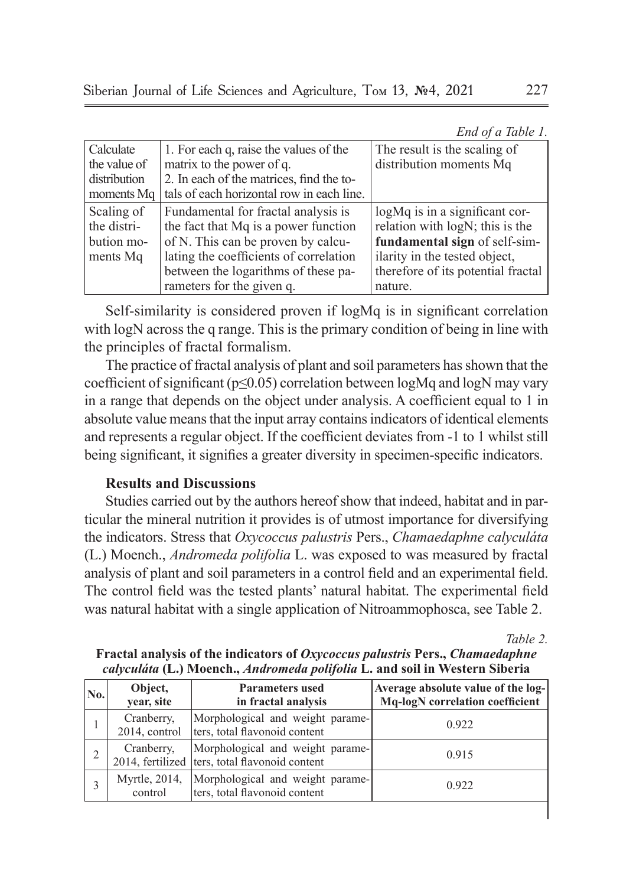| End of a Table 1. |  |  |
|-------------------|--|--|
|-------------------|--|--|

| Calculate    | 1. For each q, raise the values of the    | The result is the scaling of       |
|--------------|-------------------------------------------|------------------------------------|
| the value of | matrix to the power of q.                 | distribution moments Mq            |
| distribution | 2. In each of the matrices, find the to-  |                                    |
| moments Mg   | tals of each horizontal row in each line. |                                    |
| Scaling of   | Fundamental for fractal analysis is       | logMq is in a significant cor-     |
| the distri-  | the fact that Mq is a power function      | relation with logN; this is the    |
| bution mo-   | of N. This can be proven by calcu-        | fundamental sign of self-sim-      |
| ments Mg     | lating the coefficients of correlation    | ilarity in the tested object,      |
|              | between the logarithms of these pa-       | therefore of its potential fractal |
|              | rameters for the given q.                 | nature.                            |

Self-similarity is considered proven if logMq is in significant correlation with logN across the q range. This is the primary condition of being in line with the principles of fractal formalism.

The practice of fractal analysis of plant and soil parameters has shown that the coefficient of significant ( $p \le 0.05$ ) correlation between logMq and logN may vary in a range that depends on the object under analysis. A coefficient equal to 1 in absolute value means that the input array contains indicators of identical elements and represents a regular object. If the coefficient deviates from -1 to 1 whilst still being significant, it signifies a greater diversity in specimen-specific indicators.

# **Results and Discussions**

Studies carried out by the authors hereof show that indeed, habitat and in particular the mineral nutrition it provides is of utmost importance for diversifying the indicators. Stress that *Oxycoccus palustris* Pers., *Chamaedaphne calyculáta* (L.) Moench., *Andromeda polifolia* L. was exposed to was measured by fractal analysis of plant and soil parameters in a control field and an experimental field. The control field was the tested plants' natural habitat. The experimental field was natural habitat with a single application of Nitroammophosca, see Table 2.

*Table 2.*

| No. | Object,<br>year, site       | <b>Parameters used</b><br>in fractal analysis                                      | Average absolute value of the log-<br>Mq-logN correlation coefficient |
|-----|-----------------------------|------------------------------------------------------------------------------------|-----------------------------------------------------------------------|
|     | Cranberry.<br>2014, control | Morphological and weight parame-<br>ters, total flavonoid content                  | 0.922                                                                 |
| 2   | Cranberry,                  | Morphological and weight parame-<br>2014, fertilized ters, total flavonoid content | 0.915                                                                 |
|     | Myrtle, 2014,<br>control    | Morphological and weight parame-<br>ters, total flavonoid content                  | 0.922                                                                 |
|     |                             |                                                                                    |                                                                       |

**Fractal analysis of the indicators of** *Oxycoccus palustris* **Pers.,** *Chamaedaphne calyculáta* **(L.) Moench.,** *Andromeda polifolia* **L. and soil in Western Siberia**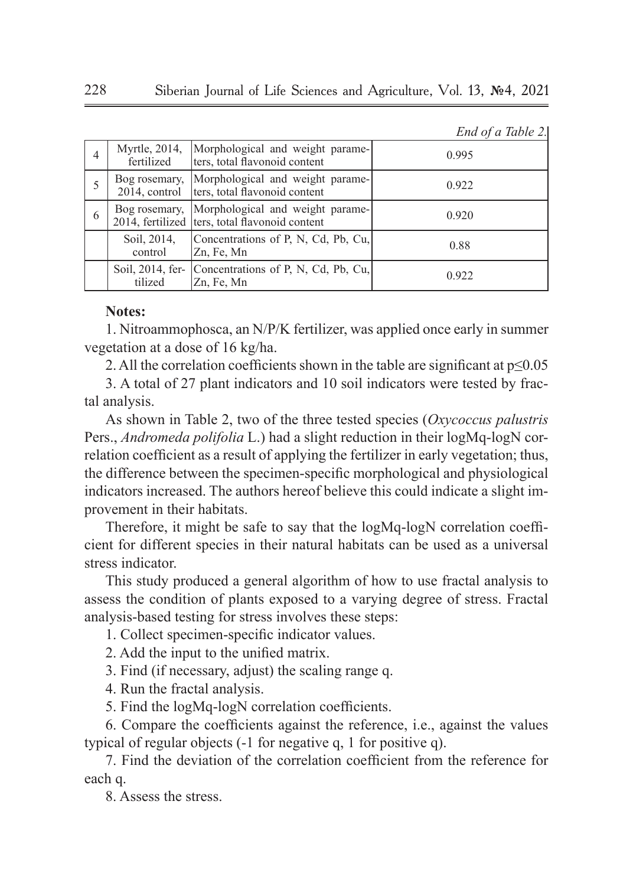|  |  | End of a Table 2. |  |
|--|--|-------------------|--|
|--|--|-------------------|--|

|   | Myrtle, 2014,<br>fertilized    | Morphological and weight parame-<br>ters, total flavonoid content                  | 0.995 |
|---|--------------------------------|------------------------------------------------------------------------------------|-------|
|   | Bog rosemary,<br>2014, control | Morphological and weight parame-<br>ters, total flavonoid content                  | 0.922 |
| 6 | Bog rosemary,                  | Morphological and weight parame-<br>2014, fertilized ters, total flavonoid content | 0.920 |
|   | Soil, 2014,<br>control         | Concentrations of P, N, Cd, Pb, Cu,<br>Zn, Fe, Mn                                  | 0.88  |
|   | Soil, 2014, fer-<br>tilized    | Concentrations of P, N, Cd, Pb, Cu,<br>Zn, Fe, Mn                                  | 0.922 |

# **Notes:**

1. Nitroammophosca, an N/P/K fertilizer, was applied once early in summer vegetation at a dose of 16 kg/ha.

2. All the correlation coefficients shown in the table are significant at  $p \leq 0.05$ 

3. A total of 27 plant indicators and 10 soil indicators were tested by fractal analysis.

As shown in Table 2, two of the three tested species (*Oxycoccus palustris*  Pers., *Andromeda polifolia* L.) had a slight reduction in their logMq-logN correlation coefficient as a result of applying the fertilizer in early vegetation; thus, the difference between the specimen-specific morphological and physiological indicators increased. The authors hereof believe this could indicate a slight improvement in their habitats.

Therefore, it might be safe to say that the logMq-logN correlation coefficient for different species in their natural habitats can be used as a universal stress indicator.

This study produced a general algorithm of how to use fractal analysis to assess the condition of plants exposed to a varying degree of stress. Fractal analysis-based testing for stress involves these steps:

1. Collect specimen-specific indicator values.

- 2. Add the input to the unified matrix.
- 3. Find (if necessary, adjust) the scaling range q.
- 4. Run the fractal analysis.
- 5. Find the logMq-logN correlation coefficients.

6. Compare the coefficients against the reference, i.e., against the values typical of regular objects (-1 for negative q, 1 for positive q).

7. Find the deviation of the correlation coefficient from the reference for each q.

8. Assess the stress.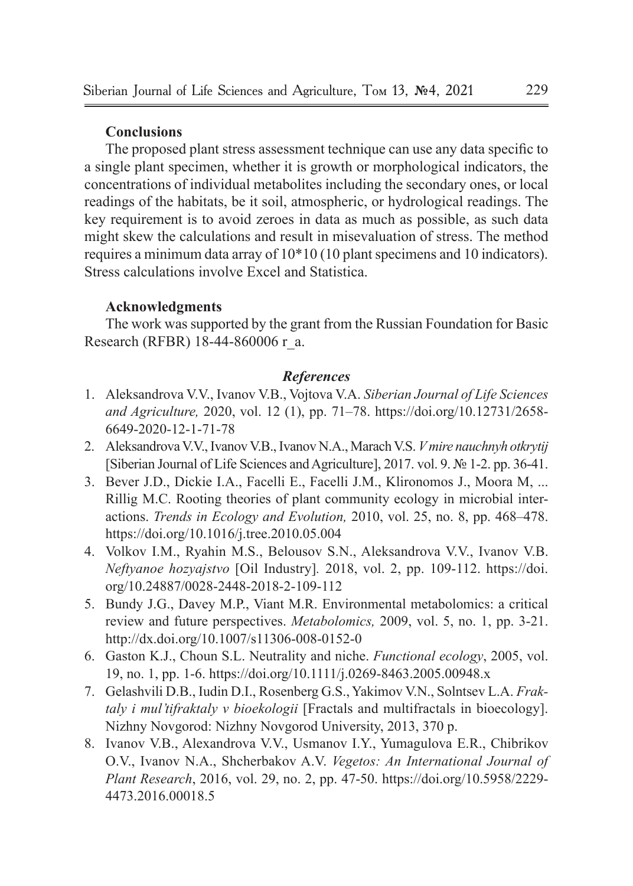# **Conclusions**

The proposed plant stress assessment technique can use any data specific to a single plant specimen, whether it is growth or morphological indicators, the concentrations of individual metabolites including the secondary ones, or local readings of the habitats, be it soil, atmospheric, or hydrological readings. The key requirement is to avoid zeroes in data as much as possible, as such data might skew the calculations and result in misevaluation of stress. The method requires a minimum data array of 10\*10 (10 plant specimens and 10 indicators). Stress calculations involve Excel and Statistica.

## **Acknowledgments**

The work was supported by the grant from the Russian Foundation for Basic Research (RFBR) 18-44-860006 r\_a.

## *References*

- 1. Aleksandrova V.V., Ivanov V.B., Vojtova V.A. *Siberian Journal of Life Sciences and Agriculture,* 2020, vol. 12 (1), pp. 71–78. https://doi.org/10.12731/2658- 6649-2020-12-1-71-78
- 2. Aleksandrova V.V., Ivanov V.B., Ivanov N.A., Marach V.S. *V mire nauchnyh otkrytij*  [Siberian Journal of Life Sciences and Agriculture], 2017. vol. 9. № 1-2. pp. 36-41.
- 3. Bever J.D., Dickie I.A., Facelli E., Facelli J.M., Klironomos J., Moora M, ... Rillig M.C. Rooting theories of plant community ecology in microbial interactions. *Trends in Ecology and Evolution,* 2010, vol. 25, no. 8, pp. 468–478. https://doi.org/10.1016/j.tree.2010.05.004
- 4. Volkov I.M., Ryahin M.S., Belousov S.N., Aleksandrova V.V., Ivanov V.B. *Neftyanoe hozyajstvo* [Oil Industry]*.* 2018, vol. 2, pp. 109-112. https://doi. org/10.24887/0028-2448-2018-2-109-112
- 5. Bundy J.G., Davey M.P., Viant M.R. Environmental metabolomics: a critical review and future perspectives. *Metabolomics,* 2009, vol. 5, no. 1, pp. 3-21. http://dx.doi.org/10.1007/s11306-008-0152-0
- 6. Gaston K.J., Choun S.L. Neutrality and niche. *Functional ecology*, 2005, vol. 19, no. 1, pp. 1-6. https://doi.org/10.1111/j.0269-8463.2005.00948.x
- 7. Gelashvili D.B., Iudin D.I., Rosenberg G.S., Yakimov V.N., Solntsev L.A. *Fraktaly i mul'tifraktaly v bioekologii* [Fractals and multifractals in bioecology]. Nizhny Novgorod: Nizhny Novgorod University, 2013, 370 p.
- 8. Ivanov V.B., Alexandrova V.V., Usmanov I.Y., Yumagulova E.R., Chibrikov O.V., Ivanov N.A., Shcherbakov A.V. *Vegetos: An International Journal of Plant Research*, 2016, vol. 29, no. 2, pp. 47-50. https://doi.org/10.5958/2229- 4473.2016.00018.5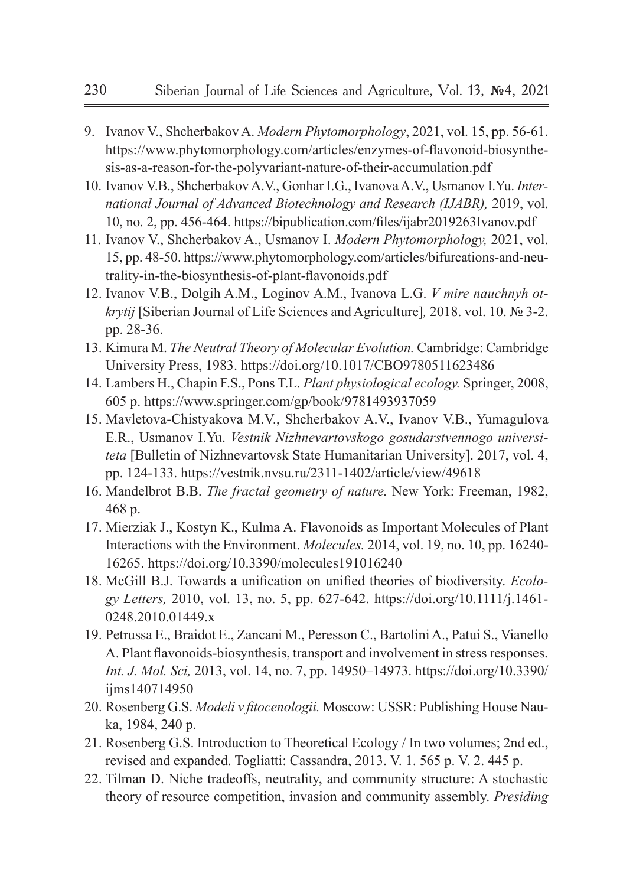- 9. Ivanov V., Shcherbakov A. *Modern Phytomorphology*, 2021, vol. 15, pp. 56-61. https://www.phytomorphology.com/articles/enzymes-of-flavonoid-biosynthesis-as-a-reason-for-the-polyvariant-nature-of-their-accumulation.pdf
- 10. Ivanov V.B., Shcherbakov A.V., Gonhar I.G., Ivanova A.V., Usmanov I.Yu. *International Journal of Advanced Biotechnology and Research (IJABR),* 2019, vol. 10, no. 2, pp. 456-464. https://bipublication.com/files/ijabr2019263Ivanov.pdf
- 11. Ivanov V., Shcherbakov A., Usmanov I. *Modern Phytomorphology,* 2021, vol. 15, pp. 48-50. https://www.phytomorphology.com/articles/bifurcations-and-neutrality-in-the-biosynthesis-of-plant-flavonoids.pdf
- 12. Ivanov V.B., Dolgih A.M., Loginov A.M., Ivanova L.G. *V mire nauchnyh otkrytij* [Siberian Journal of Life Sciences and Agriculture]*,* 2018. vol. 10. № 3-2. pp. 28-36.
- 13. Kimura M. *The Neutral Theory of Molecular Evolution.* Cambridge: Cambridge University Press, 1983. https://doi.org/10.1017/CBO9780511623486
- 14. Lambers H., Chapin F.S., Pons T.L. *Plant physiological ecology.* Springer, 2008, 605 p. https://www.springer.com/gp/book/9781493937059
- 15. Mavletova-Chistyakova M.V., Shcherbakov A.V., Ivanov V.B., Yumagulova E.R., Usmanov I.Yu. *Vestnik Nizhnevartovskogo gosudarstvennogo universiteta* [Bulletin of Nizhnevartovsk State Humanitarian University]. 2017, vol. 4, pp. 124-133. https://vestnik.nvsu.ru/2311-1402/article/view/49618
- 16. Mandelbrot B.B. *The fractal geometry of nature.* New York: Freeman, 1982, 468 p.
- 17. Mierziak J., Kostyn K., Kulma A. Flavonoids as Important Molecules of Plant Interactions with the Environment. *Molecules.* 2014, vol. 19, no. 10, pp. 16240- 16265. https://doi.org/10.3390/molecules191016240
- 18. McGill B.J. Towards a unification on unified theories of biodiversity. *Ecology Letters,* 2010, vol. 13, no. 5, pp. 627-642. https://doi.org/10.1111/j.1461- 0248.2010.01449.x
- 19. Petrussa E., Braidot E., Zancani M., Peresson C., Bartolini A., Patui S., Vianello A. Plant flavonoids-biosynthesis, transport and involvement in stress responses. *Int. J. Mol. Sci,* 2013, vol. 14, no. 7, pp. 14950–14973. https://doi.org/10.3390/ iims140714950
- 20. Rosenberg G.S. *Modeli v fitocenologii.* Мoscow: USSR: Publishing House Nauka, 1984, 240 p.
- 21. Rosenberg G.S. Introduction to Theoretical Ecology / In two volumes; 2nd ed., revised and expanded. Togliatti: Cassandra, 2013. V. 1. 565 p. V. 2. 445 p.
- 22. Tilman D. Niche tradeoffs, neutrality, and community structure: A stochastic theory of resource competition, invasion and community assembly. *Presiding*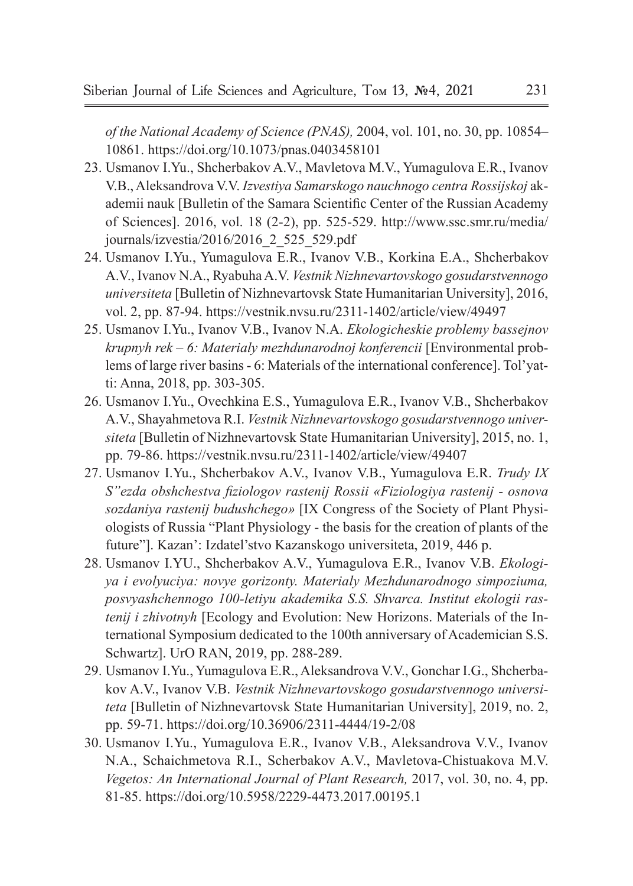*of the National Academy of Science (PNAS),* 2004, vol. 101, no. 30, pp. 10854– 10861. https://doi.org/10.1073/pnas.0403458101

- 23. Usmanov I.Yu., Shcherbakov A.V., Mavletova M.V., Yumagulova E.R., Ivanov V.B., Aleksandrova V.V. *Izvestiya Samarskogo nauchnogo centra Rossijskoj* akademii nauk [Bulletin of the Samara Scientific Center of the Russian Academy of Sciences]. 2016, vol. 18 (2-2), pp. 525-529. http://www.ssc.smr.ru/media/ journals/izvestia/2016/2016\_2\_525\_529.pdf
- 24. Usmanov I.Yu., Yumagulova E.R., Ivanov V.B., Korkina E.A., Shcherbakov A.V., Ivanov N.A., Ryabuha A.V. *Vestnik Nizhnevartovskogo gosudarstvennogo universiteta* [Bulletin of Nizhnevartovsk State Humanitarian University], 2016, vol. 2, pp. 87-94. https://vestnik.nvsu.ru/2311-1402/article/view/49497
- 25. Usmanov I.Yu., Ivanov V.B., Ivanov N.A. *Ekologicheskie problemy bassejnov krupnyh rek – 6: Materialy mezhdunarodnoj konferencii* [Environmental problems of large river basins - 6: Materials of the international conference]. Tol'yatti: Anna, 2018, pp. 303-305.
- 26. Usmanov I.Yu., Ovechkina E.S., Yumagulova E.R., Ivanov V.B., Shcherbakov A.V., Shayahmetova R.I. *Vestnik Nizhnevartovskogo gosudarstvennogo universiteta* [Bulletin of Nizhnevartovsk State Humanitarian University], 2015, no. 1, pp. 79-86. https://vestnik.nvsu.ru/2311-1402/article/view/49407
- 27. Usmanov I.Yu., Shcherbakov A.V., Ivanov V.B., Yumagulova E.R. *Trudy IX S"ezda obshchestva fiziologov rastenij Rossii «Fiziologiya rastenij - osnova sozdaniya rastenij budushchego»* [IX Congress of the Society of Plant Physiologists of Russia "Plant Physiology - the basis for the creation of plants of the future"]. Kazan': Izdatel'stvo Kazanskogo universiteta, 2019, 446 p.
- 28. Usmanov I.YU., Shcherbakov A.V., Yumagulova E.R., Ivanov V.B. *Ekologiya i evolyuciya: novye gorizonty. Materialy Mezhdunarodnogo simpoziuma, posvyashchennogo 100-letiyu akademika S.S. Shvarca. Institut ekologii rastenij i zhivotnyh* [Ecology and Evolution: New Horizons. Materials of the International Symposium dedicated to the 100th anniversary of Academician S.S. Schwartz]. UrO RAN, 2019, pp. 288-289.
- 29. Usmanov I.Yu., Yumagulova E.R., Aleksandrova V.V., Gonchar I.G., Shcherbakov A.V., Ivanov V.B. *Vestnik Nizhnevartovskogo gosudarstvennogo universiteta* [Bulletin of Nizhnevartovsk State Humanitarian University], 2019, no. 2, pp. 59-71. https://doi.org/10.36906/2311-4444/19-2/08
- 30. Usmanov I.Yu., Yumagulova E.R., Ivanov V.B., Aleksandrova V.V., Ivanov N.A., Schaichmetova R.I., Scherbakov A.V., Mavletova-Chistuakova M.V. *Vegetos: An International Journal of Plant Research,* 2017, vol. 30, no. 4, pp. 81-85. https://doi.org/10.5958/2229-4473.2017.00195.1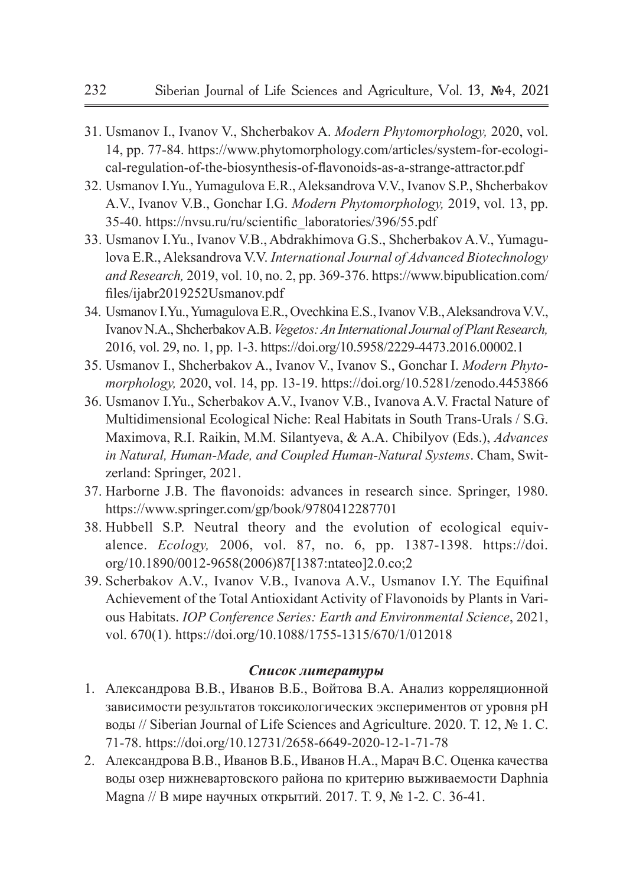- 31. Usmanov I., Ivanov V., Shcherbakov A. *Modern Phytomorphology,* 2020, vol. 14, pp. 77-84. https://www.phytomorphology.com/articles/system-for-ecological-regulation-of-the-biosynthesis-of-flavonoids-as-a-strange-attractor.pdf
- 32. Usmanov I.Yu., Yumagulova E.R., Aleksandrova V.V., Ivanov S.P., Shcherbakov A.V., Ivanov V.B., Gonchar I.G. *Modern Phytomorphology,* 2019, vol. 13, pp. 35-40. https://nvsu.ru/ru/scientific\_laboratories/396/55.pdf
- 33. Usmanov I.Yu., Ivanov V.B., Abdrakhimova G.S., Shcherbakov A.V., Yumagulova E.R., Aleksandrova V.V. *International Journal of Advanced Biotechnology and Research,* 2019, vol. 10, no. 2, pp. 369-376. https://www.bipublication.com/ files/ijabr2019252Usmanov.pdf
- 34. Usmanov I.Yu., Yumagulova E.R., Ovechkina E.S., Ivanov V.B., Aleksandrova V.V., Ivanov N.A., Shcherbakov A.B. *Vegetos: An International Journal of Plant Research,*  2016, vol. 29, no. 1, pp. 1-3. https://doi.org/10.5958/2229-4473.2016.00002.1
- 35. Usmanov I., Shcherbakov A., Ivanov V., Ivanov S., Gonchar I. *Modern Phytomorphology,* 2020, vol. 14, pp. 13-19. https://doi.org/10.5281/zenodo.4453866
- 36. Usmanov I.Yu., Scherbakov A.V., Ivanov V.B., Ivanova A.V. Fractal Nature of Multidimensional Ecological Niche: Real Habitats in South Trans-Urals / S.G. Maximova, R.I. Raikin, M.M. Silantyeva, & A.A. Chibilyov (Eds.), *Advances in Natural, Human-Made, and Coupled Human-Natural Systems*. Cham, Switzerland: Springer, 2021.
- 37. Harborne J.B. The flavonoids: advances in research since. Springer, 1980. https://www.springer.com/gp/book/9780412287701
- 38. Hubbell S.P. Neutral theory and the evolution of ecological equivalence. *Ecology,* 2006, vol. 87, no. 6, pp. 1387-1398. https://doi. org/10.1890/0012-9658(2006)87[1387:ntateo]2.0.co;2
- 39. Scherbakov A.V., Ivanov V.B., Ivanova A.V., Usmanov I.Y. The Equifinal Achievement of the Total Antioxidant Activity of Flavonoids by Plants in Various Habitats. *IOP Conference Series: Earth and Environmental Science*, 2021, vol. 670(1). https://doi.org/10.1088/1755-1315/670/1/012018

### *Список литературы*

- 1. Александрова В.В., Иванов В.Б., Войтова В.А. Анализ корреляционной зависимости результатов токсикологических экспериментов от уровня рН воды // Siberian Journal of Life Sciences and Agriculture. 2020. Т. 12, № 1. С. 71-78. https://doi.org/10.12731/2658-6649-2020-12-1-71-78
- 2. Александрова В.В., Иванов В.Б., Иванов Н.А., Марач В.С. Оценка качества воды озер нижневартовского района по критерию выживаемости Daphnia Magna // В мире научных открытий. 2017. Т. 9, № 1-2. С. 36-41.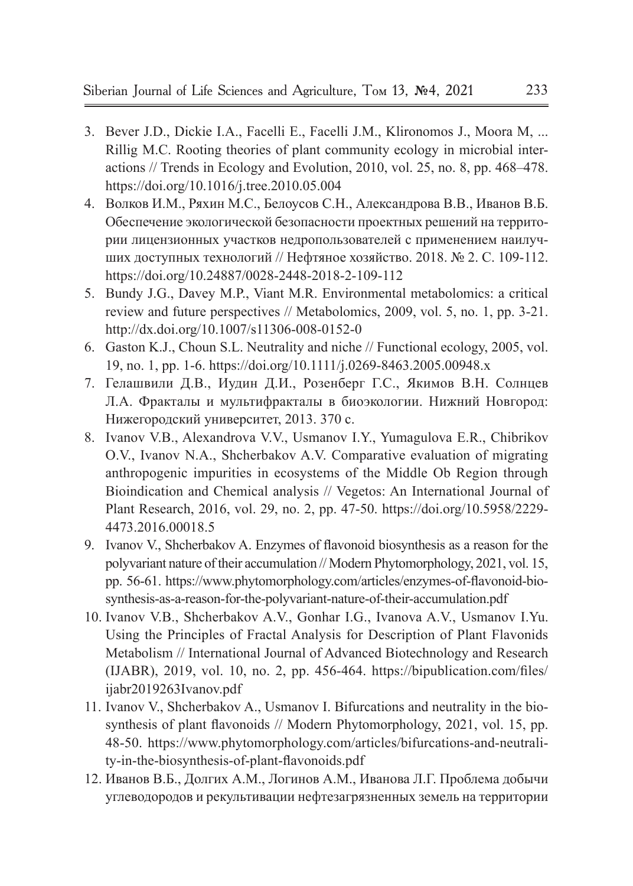- 3. Bever J.D., Dickie I.A., Facelli E., Facelli J.M., Klironomos J., Moora M, ... Rillig M.C. Rooting theories of plant community ecology in microbial interactions // Trends in Ecology and Evolution, 2010, vol. 25, no. 8, pp. 468–478. https://doi.org/10.1016/j.tree.2010.05.004
- 4. Волков И.М., Ряхин М.С., Белоусов С.Н., Александрова В.В., Иванов В.Б. Обеспечение экологической безопасности проектных решений на территории лицензионных участков недропользователей с применением наилучших доступных технологий // Нефтяное хозяйство. 2018. № 2. С. 109-112. https://doi.org/10.24887/0028-2448-2018-2-109-112
- 5. Bundy J.G., Davey M.P., Viant M.R. Environmental metabolomics: a critical review and future perspectives // Metabolomics, 2009, vol. 5, no. 1, pp. 3-21. http://dx.doi.org/10.1007/s11306-008-0152-0
- 6. Gaston K.J., Choun S.L. Neutrality and niche // Functional ecology, 2005, vol. 19, no. 1, pp. 1-6. https://doi.org/10.1111/j.0269-8463.2005.00948.x
- 7. Гелашвили Д.В., Иудин Д.И., Розенберг Г.С., Якимов В.Н. Солнцев Л.А. Фракталы и мультифракталы в биоэкологии. Нижний Новгород: Нижегородский университет, 2013. 370 с.
- 8. Ivanov V.B., Alexandrova V.V., Usmanov I.Y., Yumagulova E.R., Chibrikov O.V., Ivanov N.A., Shcherbakov A.V. Comparative evaluation of migrating anthropogenic impurities in ecosystems of the Middle Ob Region through Bioindication and Chemical analysis // Vegetos: An International Journal of Plant Research, 2016, vol. 29, no. 2, pp. 47-50. https://doi.org/10.5958/2229- 4473.2016.00018.5
- 9. Ivanov V., Shcherbakov A. Enzymes of flavonoid biosynthesis as a reason for the polyvariant nature of their accumulation // Modern Phytomorphology, 2021, vol. 15, pp. 56-61. https://www.phytomorphology.com/articles/enzymes-of-flavonoid-biosynthesis-as-a-reason-for-the-polyvariant-nature-of-their-accumulation.pdf
- 10. Ivanov V.B., Shcherbakov A.V., Gonhar I.G., Ivanova A.V., Usmanov I.Yu. Using the Principles of Fractal Analysis for Description of Plant Flavonids Metabolism // International Journal of Advanced Biotechnology and Research (IJABR), 2019, vol. 10, no. 2, pp. 456-464. https://bipublication.com/files/ ijabr2019263Ivanov.pdf
- 11. Ivanov V., Shcherbakov A., Usmanov I. Bifurcations and neutrality in the biosynthesis of plant flavonoids // Modern Phytomorphology, 2021, vol. 15, pp. 48-50. https://www.phytomorphology.com/articles/bifurcations-and-neutrality-in-the-biosynthesis-of-plant-flavonoids.pdf
- 12. Иванов В.Б., Долгих А.М., Логинов А.М., Иванова Л.Г. Проблема добычи углеводородов и рекультивации нефтезагрязненных земель на территории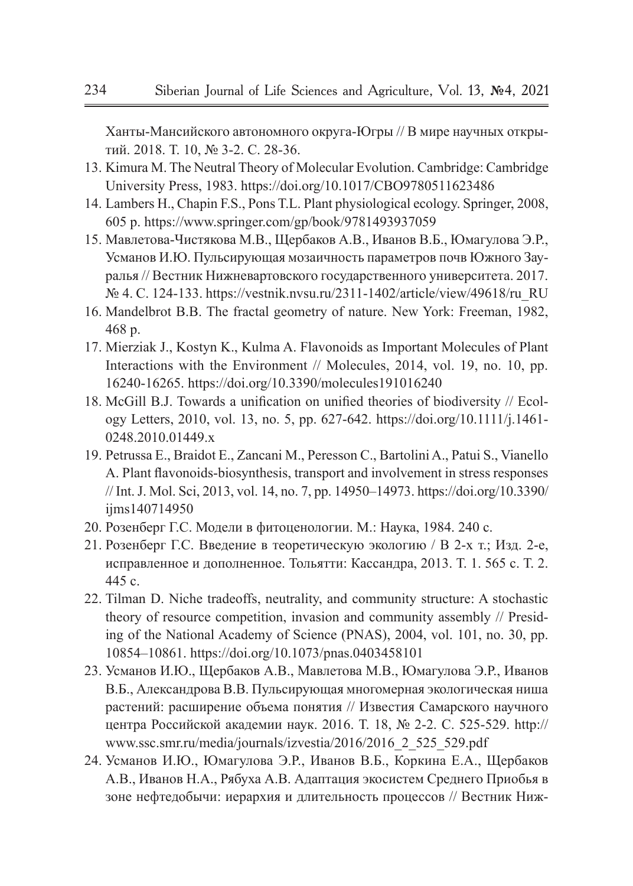Ханты-Мансийского автономного округа-Югры // В мире научных открытий. 2018. Т. 10, № 3-2. С. 28-36.

- 13. Kimura M. The Neutral Theory of Molecular Evolution. Cambridge: Cambridge University Press, 1983. https://doi.org/10.1017/CBO9780511623486
- 14. Lambers H., Chapin F.S., Pons T.L. Plant physiological ecology. Springer, 2008, 605 p. https://www.springer.com/gp/book/9781493937059
- 15. Мавлетова-Чистякова М.В., Щербаков А.В., Иванов В.Б., Юмагулова Э.Р., Усманов И.Ю. Пульсирующая мозаичность параметров почв Южного Зауралья // Вестник Нижневартовского государственного университета. 2017. № 4. С. 124-133. https://vestnik.nvsu.ru/2311-1402/article/view/49618/ru\_RU
- 16. Mandelbrot B.B. The fractal geometry of nature. New York: Freeman, 1982, 468 p.
- 17. Mierziak J., Kostyn K., Kulma A. Flavonoids as Important Molecules of Plant Interactions with the Environment // Molecules, 2014, vol. 19, no. 10, pp. 16240-16265. https://doi.org/10.3390/molecules191016240
- 18. McGill B.J. Towards a unification on unified theories of biodiversity // Ecology Letters, 2010, vol. 13, no. 5, pp. 627-642. https://doi.org/10.1111/j.1461- 0248.2010.01449.x
- 19. Petrussa E., Braidot E., Zancani M., Peresson C., Bartolini A., Patui S., Vianello A. Plant flavonoids-biosynthesis, transport and involvement in stress responses // Int. J. Mol. Sci, 2013, vol. 14, no. 7, pp. 14950–14973. https://doi.org/10.3390/ iims140714950
- 20. Розенберг Г.С. Модели в фитоценологии. М.: Наука, 1984. 240 с.
- 21. Розенберг Г.С. Введение в теоретическую экологию / В 2-х т.; Изд. 2-е, исправленное и дополненное. Тольятти: Кассандра, 2013. Т. 1. 565 с. Т. 2. 445 с.
- 22. Tilman D. Niche tradeoffs, neutrality, and community structure: A stochastic theory of resource competition, invasion and community assembly // Presiding of the National Academy of Science (PNAS), 2004, vol. 101, no. 30, pp. 10854–10861. https://doi.org/10.1073/pnas.0403458101
- 23. Усманов И.Ю., Щербаков А.В., Мавлетова М.В., Юмагулова Э.Р., Иванов В.Б., Александрова В.В. Пульсирующая многомерная экологическая ниша растений: расширение объема понятия // Известия Самарского научного центра Российской академии наук. 2016. Т. 18, № 2-2. С. 525-529. http:// www.ssc.smr.ru/media/journals/izvestia/2016/2016\_2\_525\_529.pdf
- 24. Усманов И.Ю., Юмагулова Э.Р., Иванов В.Б., Коркина Е.А., Щербаков А.В., Иванов Н.А., Рябуха А.В. Адаптация экосистем Среднего Приобья в зоне нефтедобычи: иерархия и длительность процессов // Вестник Ниж-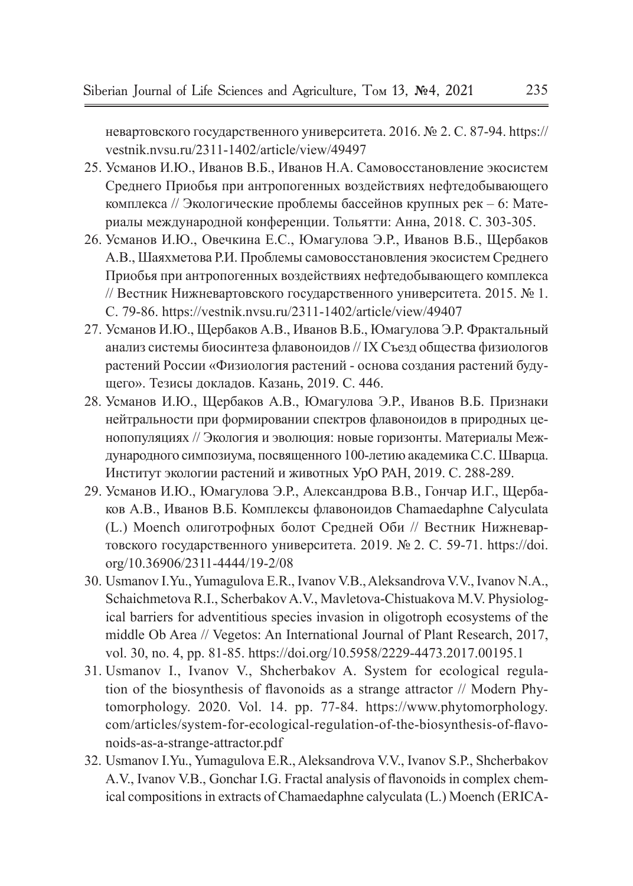невартовского государственного университета. 2016. № 2. С. 87-94. https:// vestnik.nvsu.ru/2311-1402/article/view/49497

- 25. Усманов И.Ю., Иванов В.Б., Иванов Н.А. Самовосстановление экосистем Среднего Приобья при антропогенных воздействиях нефтедобывающего комплекса // Экологические проблемы бассейнов крупных рек – 6: Материалы международной конференции. Тольятти: Анна, 2018. С. 303-305.
- 26. Усманов И.Ю., Овечкина Е.С., Юмагулова Э.Р., Иванов В.Б., Щербаков А.В., Шаяхметова Р.И. Проблемы самовосстановления экосистем Среднего Приобья при антропогенных воздействиях нефтедобывающего комплекса // Вестник Нижневартовского государственного университета. 2015. № 1. С. 79-86. https://vestnik.nvsu.ru/2311-1402/article/view/49407
- 27. Усманов И.Ю., Щербаков А.В., Иванов В.Б., Юмагулова Э.Р. Фрактальный анализ системы биосинтеза флавоноидов // IX Съезд общества физиологов растений России «Физиология растений - основа создания растений будущего». Тезисы докладов. Казань, 2019. С. 446.
- 28. Усманов И.Ю., Щербаков А.В., Юмагулова Э.Р., Иванов В.Б. Признаки нейтральности при формировании спектров флавоноидов в природных ценопопуляциях // Экология и эволюция: новые горизонты. Материалы Международного симпозиума, посвященного 100-летию академика С.С. Шварца. Институт экологии растений и животных УрО РАН, 2019. С. 288-289.
- 29. Усманов И.Ю., Юмагулова Э.Р., Александрова В.В., Гончар И.Г., Щербаков А.В., Иванов В.Б. Комплексы флавоноидов Chamaedaphne Calyculata (L.) Moench олиготрофных болот Средней Оби // Вестник Нижневартовского государственного университета. 2019. № 2. С. 59-71. https://doi. org/10.36906/2311-4444/19-2/08
- 30. Usmanov I.Yu., Yumagulova E.R., Ivanov V.B., Aleksandrova V.V., Ivanov N.A., Schaichmetova R.I., Scherbakov A.V., Mavletova-Chistuakova M.V. Physiological barriers for adventitious species invasion in oligotroph ecosystems of the middle Ob Area // Vegetos: An International Journal of Plant Research, 2017, vol. 30, no. 4, pp. 81-85. https://doi.org/10.5958/2229-4473.2017.00195.1
- 31. Usmanov I., Ivanov V., Shcherbakov A. System for ecological regulation of the biosynthesis of flavonoids as a strange attractor // Modern Phytomorphology. 2020. Vol. 14. pp. 77-84. https://www.phytomorphology. com/articles/system-for-ecological-regulation-of-the-biosynthesis-of-flavonoids-as-a-strange-attractor.pdf
- 32. Usmanov I.Yu., Yumagulova E.R., Aleksandrova V.V., Ivanov S.P., Shcherbakov A.V., Ivanov V.B., Gonchar I.G. Fractal analysis of flavonoids in complex chemical compositions in extracts of Chamaedaphne calyculata (L.) Moench (ERICA-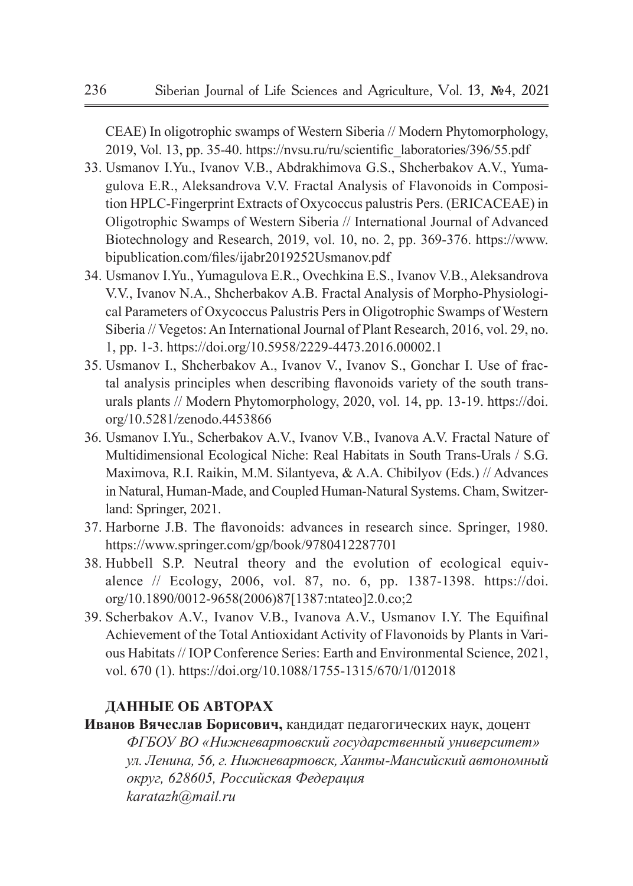CEAE) In oligotrophic swamps of Western Siberia // Modern Phytomorphology, 2019, Vol. 13, pp. 35-40. https://nvsu.ru/ru/scientific\_laboratories/396/55.pdf

- 33. Usmanov I.Yu., Ivanov V.B., Abdrakhimova G.S., Shcherbakov A.V., Yumagulova E.R., Aleksandrova V.V. Fractal Analysis of Flavonoids in Composition HPLC-Fingerprint Extracts of Oxycoccus palustris Pers. (ERICACEAE) in Oligotrophic Swamps of Western Siberia // International Journal of Advanced Biotechnology and Research, 2019, vol. 10, no. 2, pp. 369-376. https://www. bipublication.com/files/ijabr2019252Usmanov.pdf
- 34. Usmanov I.Yu., Yumagulova E.R., Ovechkina E.S., Ivanov V.B., Aleksandrova V.V., Ivanov N.A., Shcherbakov A.B. Fractal Analysis of Morpho-Physiological Parameters of Oxycoccus Palustris Pers in Oligotrophic Swamps of Western Siberia // Vegetos: An International Journal of Plant Research, 2016, vol. 29, no. 1, pp. 1-3. https://doi.org/10.5958/2229-4473.2016.00002.1
- 35. Usmanov I., Shcherbakov A., Ivanov V., Ivanov S., Gonchar I. Use of fractal analysis principles when describing flavonoids variety of the south transurals plants // Modern Phytomorphology, 2020, vol. 14, pp. 13-19. https://doi. org/10.5281/zenodo.4453866
- 36. Usmanov I.Yu., Scherbakov A.V., Ivanov V.B., Ivanova A.V. Fractal Nature of Multidimensional Ecological Niche: Real Habitats in South Trans-Urals / S.G. Maximova, R.I. Raikin, M.M. Silantyeva, & A.A. Chibilyov (Eds.) // Advances in Natural, Human-Made, and Coupled Human-Natural Systems. Cham, Switzerland: Springer, 2021.
- 37. Harborne J.B. The flavonoids: advances in research since. Springer, 1980. https://www.springer.com/gp/book/9780412287701
- 38. Hubbell S.P. Neutral theory and the evolution of ecological equivalence // Ecology, 2006, vol. 87, no. 6, pp. 1387-1398. https://doi. org/10.1890/0012-9658(2006)87[1387:ntateo]2.0.co;2
- 39. Scherbakov A.V., Ivanov V.B., Ivanova A.V., Usmanov I.Y. The Equifinal Achievement of the Total Antioxidant Activity of Flavonoids by Plants in Various Habitats // IOP Conference Series: Earth and Environmental Science, 2021, vol. 670 (1). https://doi.org/10.1088/1755-1315/670/1/012018

## **ДАННЫЕ ОБ АВТОРАХ**

**Иванов Вячеслав Борисович,** кандидат педагогических наук, доцент *ФГБОУ ВО «Нижневартовский государственный университет» ул. Ленина, 56, г. Нижневартовск, Ханты-Мансийский автономный округ, 628605, Российская Федерация karatazh@mail.ru*